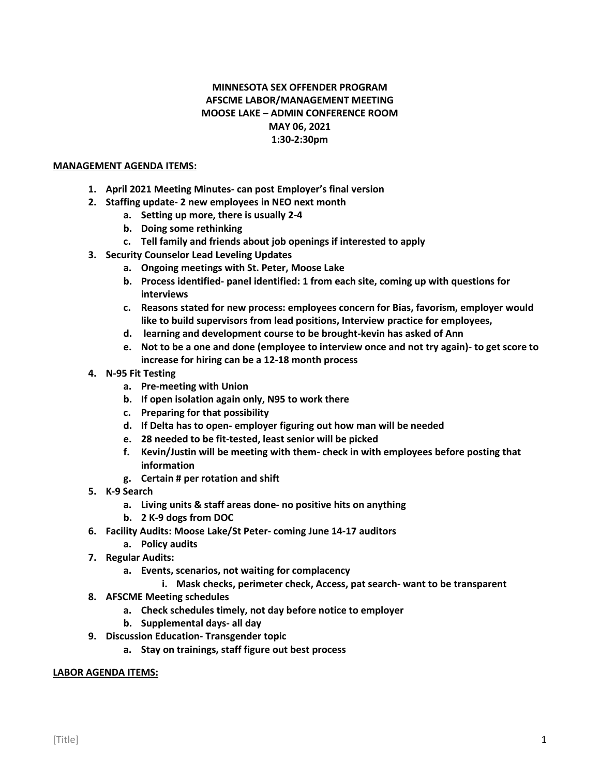## **MINNESOTA SEX OFFENDER PROGRAM AFSCME LABOR/MANAGEMENT MEETING MOOSE LAKE – ADMIN CONFERENCE ROOM MAY 06, 2021 1:30-2:30pm**

## **MANAGEMENT AGENDA ITEMS:**

- **1. April 2021 Meeting Minutes- can post Employer's final version**
- **2. Staffing update- 2 new employees in NEO next month**
	- **a. Setting up more, there is usually 2-4**
	- **b. Doing some rethinking**
	- **c. Tell family and friends about job openings if interested to apply**
- **3. Security Counselor Lead Leveling Updates**
	- **a. Ongoing meetings with St. Peter, Moose Lake**
	- **b. Process identified- panel identified: 1 from each site, coming up with questions for interviews**
	- **c. Reasons stated for new process: employees concern for Bias, favorism, employer would like to build supervisors from lead positions, Interview practice for employees,**
	- **d. learning and development course to be brought-kevin has asked of Ann**
	- **e. Not to be a one and done (employee to interview once and not try again)- to get score to increase for hiring can be a 12-18 month process**
- **4. N-95 Fit Testing**
	- **a. Pre-meeting with Union**
	- **b. If open isolation again only, N95 to work there**
	- **c. Preparing for that possibility**
	- **d. If Delta has to open- employer figuring out how man will be needed**
	- **e. 28 needed to be fit-tested, least senior will be picked**
	- **f. Kevin/Justin will be meeting with them- check in with employees before posting that information**
	- **g. Certain # per rotation and shift**
- **5. K-9 Search**
	- **a. Living units & staff areas done- no positive hits on anything**
	- **b. 2 K-9 dogs from DOC**
- **6. Facility Audits: Moose Lake/St Peter- coming June 14-17 auditors**
	- **a. Policy audits**
- **7. Regular Audits:**
	- **a. Events, scenarios, not waiting for complacency**
		- **i. Mask checks, perimeter check, Access, pat search- want to be transparent**
- **8. AFSCME Meeting schedules**
	- **a. Check schedules timely, not day before notice to employer**
	- **b. Supplemental days- all day**
- **9. Discussion Education- Transgender topic**
	- **a. Stay on trainings, staff figure out best process**

## **LABOR AGENDA ITEMS:**